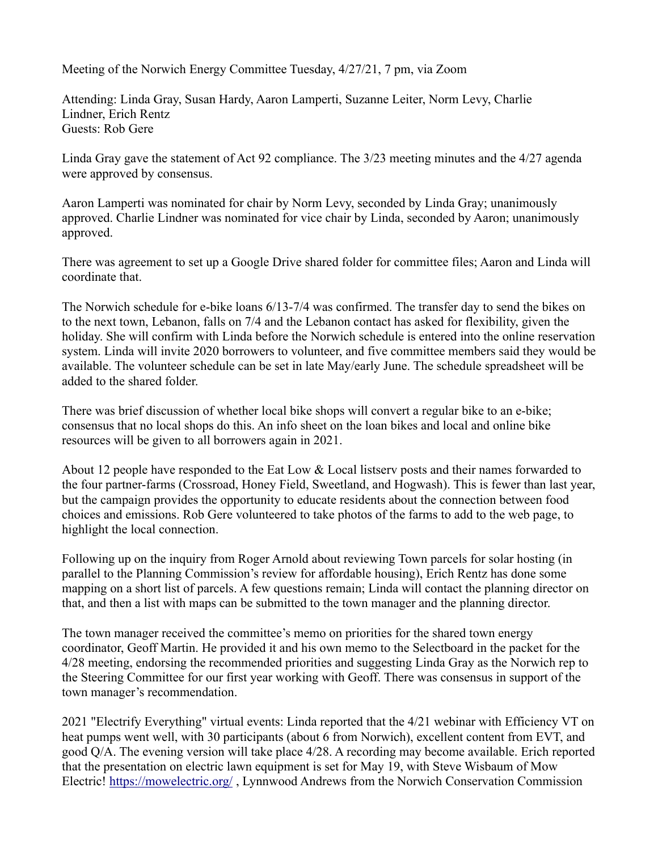Meeting of the Norwich Energy Committee Tuesday, 4/27/21, 7 pm, via Zoom

Attending: Linda Gray, Susan Hardy, Aaron Lamperti, Suzanne Leiter, Norm Levy, Charlie Lindner, Erich Rentz Guests: Rob Gere

Linda Gray gave the statement of Act 92 compliance. The 3/23 meeting minutes and the 4/27 agenda were approved by consensus.

Aaron Lamperti was nominated for chair by Norm Levy, seconded by Linda Gray; unanimously approved. Charlie Lindner was nominated for vice chair by Linda, seconded by Aaron; unanimously approved.

There was agreement to set up a Google Drive shared folder for committee files; Aaron and Linda will coordinate that.

The Norwich schedule for e-bike loans 6/13-7/4 was confirmed. The transfer day to send the bikes on to the next town, Lebanon, falls on 7/4 and the Lebanon contact has asked for flexibility, given the holiday. She will confirm with Linda before the Norwich schedule is entered into the online reservation system. Linda will invite 2020 borrowers to volunteer, and five committee members said they would be available. The volunteer schedule can be set in late May/early June. The schedule spreadsheet will be added to the shared folder.

There was brief discussion of whether local bike shops will convert a regular bike to an e-bike; consensus that no local shops do this. An info sheet on the loan bikes and local and online bike resources will be given to all borrowers again in 2021.

About 12 people have responded to the Eat Low & Local listserv posts and their names forwarded to the four partner-farms (Crossroad, Honey Field, Sweetland, and Hogwash). This is fewer than last year, but the campaign provides the opportunity to educate residents about the connection between food choices and emissions. Rob Gere volunteered to take photos of the farms to add to the web page, to highlight the local connection.

Following up on the inquiry from Roger Arnold about reviewing Town parcels for solar hosting (in parallel to the Planning Commission's review for affordable housing), Erich Rentz has done some mapping on a short list of parcels. A few questions remain; Linda will contact the planning director on that, and then a list with maps can be submitted to the town manager and the planning director.

The town manager received the committee's memo on priorities for the shared town energy coordinator, Geoff Martin. He provided it and his own memo to the Selectboard in the packet for the 4/28 meeting, endorsing the recommended priorities and suggesting Linda Gray as the Norwich rep to the Steering Committee for our first year working with Geoff. There was consensus in support of the town manager's recommendation.

2021 "Electrify Everything" virtual events: Linda reported that the 4/21 webinar with Efficiency VT on heat pumps went well, with 30 participants (about 6 from Norwich), excellent content from EVT, and good Q/A. The evening version will take place 4/28. A recording may become available. Erich reported that the presentation on electric lawn equipment is set for May 19, with Steve Wisbaum of Mow Electric! https://mowelectric.org/ , Lynnwood Andrews from the Norwich Conservation Commission